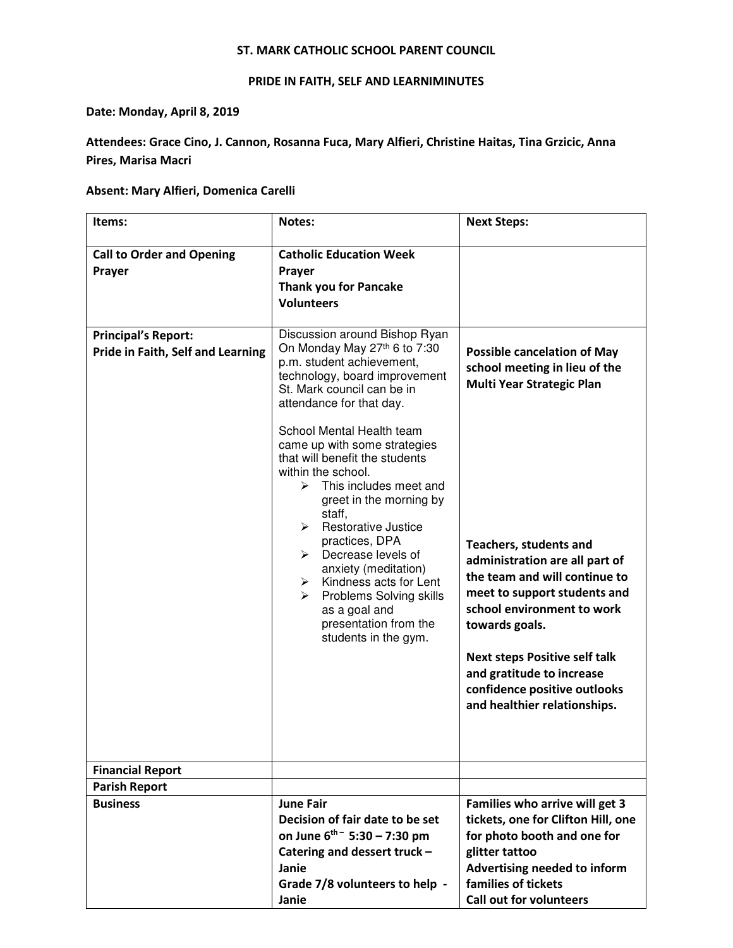### ST. MARK CATHOLIC SCHOOL PARENT COUNCIL

## PRIDE IN FAITH, SELF AND LEARNIMINUTES

### Date: Monday, April 8, 2019

# Attendees: Grace Cino, J. Cannon, Rosanna Fuca, Mary Alfieri, Christine Haitas, Tina Grzicic, Anna Pires, Marisa Macri

### Absent: Mary Alfieri, Domenica Carelli

| Items:                                                          | Notes:                                                                                                                                                                                                                                                                                                                                                                                                                                                                                                                                                                                                                       | <b>Next Steps:</b>                                                                                                                                                                                                                                                                                                                                                                                                        |
|-----------------------------------------------------------------|------------------------------------------------------------------------------------------------------------------------------------------------------------------------------------------------------------------------------------------------------------------------------------------------------------------------------------------------------------------------------------------------------------------------------------------------------------------------------------------------------------------------------------------------------------------------------------------------------------------------------|---------------------------------------------------------------------------------------------------------------------------------------------------------------------------------------------------------------------------------------------------------------------------------------------------------------------------------------------------------------------------------------------------------------------------|
| <b>Call to Order and Opening</b><br>Prayer                      | <b>Catholic Education Week</b><br>Prayer<br>Thank you for Pancake<br><b>Volunteers</b>                                                                                                                                                                                                                                                                                                                                                                                                                                                                                                                                       |                                                                                                                                                                                                                                                                                                                                                                                                                           |
| <b>Principal's Report:</b><br>Pride in Faith, Self and Learning | Discussion around Bishop Ryan<br>On Monday May 27th 6 to 7:30<br>p.m. student achievement,<br>technology, board improvement<br>St. Mark council can be in<br>attendance for that day.<br>School Mental Health team<br>came up with some strategies<br>that will benefit the students<br>within the school.<br>This includes meet and<br>⋗<br>greet in the morning by<br>staff,<br>$\triangleright$ Restorative Justice<br>practices, DPA<br>Decrease levels of<br>≻<br>anxiety (meditation)<br>Kindness acts for Lent<br>➤<br>Problems Solving skills<br>≻<br>as a goal and<br>presentation from the<br>students in the gym. | <b>Possible cancelation of May</b><br>school meeting in lieu of the<br>Multi Year Strategic Plan<br><b>Teachers, students and</b><br>administration are all part of<br>the team and will continue to<br>meet to support students and<br>school environment to work<br>towards goals.<br><b>Next steps Positive self talk</b><br>and gratitude to increase<br>confidence positive outlooks<br>and healthier relationships. |
| <b>Financial Report</b>                                         |                                                                                                                                                                                                                                                                                                                                                                                                                                                                                                                                                                                                                              |                                                                                                                                                                                                                                                                                                                                                                                                                           |
| <b>Parish Report</b><br><b>Business</b>                         | <b>June Fair</b><br>Decision of fair date to be set<br>on June $6^{th}$ - 5:30 - 7:30 pm<br>Catering and dessert truck -<br>Janie<br>Grade 7/8 volunteers to help -<br>Janie                                                                                                                                                                                                                                                                                                                                                                                                                                                 | Families who arrive will get 3<br>tickets, one for Clifton Hill, one<br>for photo booth and one for<br>glitter tattoo<br>Advertising needed to inform<br>families of tickets<br><b>Call out for volunteers</b>                                                                                                                                                                                                            |